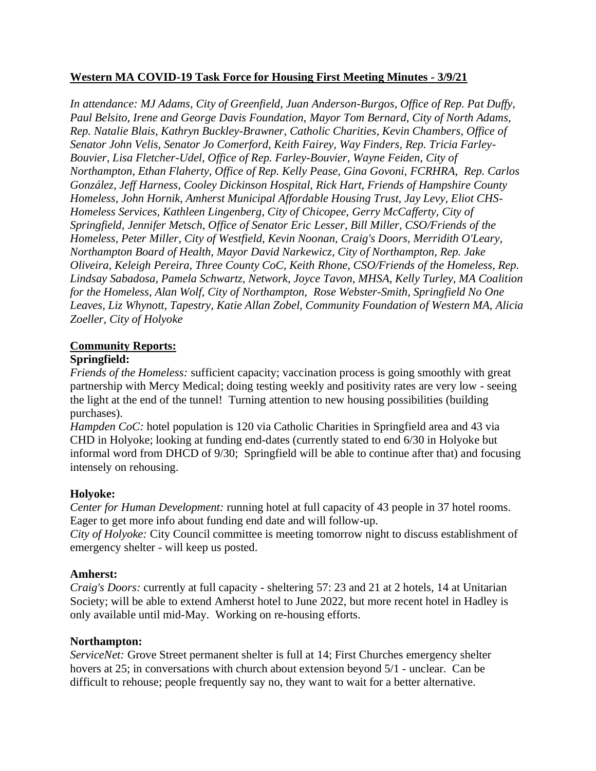## **Western MA COVID-19 Task Force for Housing First Meeting Minutes - 3/9/21**

*In attendance: MJ Adams, City of Greenfield, Juan Anderson-Burgos, Office of Rep. Pat Duffy, Paul Belsito, Irene and George Davis Foundation, Mayor Tom Bernard, City of North Adams, Rep. Natalie Blais, Kathryn Buckley-Brawner, Catholic Charities, Kevin Chambers, Office of Senator John Velis, Senator Jo Comerford, Keith Fairey, Way Finders, Rep. Tricia Farley-Bouvier, Lisa Fletcher-Udel, Office of Rep. Farley-Bouvier, Wayne Feiden, City of Northampton, Ethan Flaherty, Office of Rep. Kelly Pease, Gina Govoni, FCRHRA, Rep. Carlos González, Jeff Harness, Cooley Dickinson Hospital, Rick Hart, Friends of Hampshire County Homeless, John Hornik, Amherst Municipal Affordable Housing Trust, Jay Levy, Eliot CHS-Homeless Services, Kathleen Lingenberg, City of Chicopee, Gerry McCafferty, City of Springfield, Jennifer Metsch, Office of Senator Eric Lesser, Bill Miller, CSO/Friends of the Homeless, Peter Miller, City of Westfield, Kevin Noonan, Craig's Doors, Merridith O'Leary, Northampton Board of Health, Mayor David Narkewicz, City of Northampton, Rep. Jake Oliveira, Keleigh Pereira, Three County CoC, Keith Rhone, CSO/Friends of the Homeless, Rep. Lindsay Sabadosa, Pamela Schwartz, Network, Joyce Tavon, MHSA, Kelly Turley, MA Coalition for the Homeless, Alan Wolf, City of Northampton, Rose Webster-Smith, Springfield No One Leaves, Liz Whynott, Tapestry, Katie Allan Zobel, Community Foundation of Western MA, Alicia Zoeller, City of Holyoke*

# **Community Reports:**

# **Springfield:**

*Friends of the Homeless:* sufficient capacity; vaccination process is going smoothly with great partnership with Mercy Medical; doing testing weekly and positivity rates are very low - seeing the light at the end of the tunnel! Turning attention to new housing possibilities (building purchases).

*Hampden CoC:* hotel population is 120 via Catholic Charities in Springfield area and 43 via CHD in Holyoke; looking at funding end-dates (currently stated to end 6/30 in Holyoke but informal word from DHCD of 9/30; Springfield will be able to continue after that) and focusing intensely on rehousing.

## **Holyoke:**

*Center for Human Development:* running hotel at full capacity of 43 people in 37 hotel rooms. Eager to get more info about funding end date and will follow-up.

*City of Holyoke:* City Council committee is meeting tomorrow night to discuss establishment of emergency shelter - will keep us posted.

## **Amherst:**

*Craig's Doors:* currently at full capacity - sheltering 57: 23 and 21 at 2 hotels, 14 at Unitarian Society; will be able to extend Amherst hotel to June 2022, but more recent hotel in Hadley is only available until mid-May. Working on re-housing efforts.

#### **Northampton:**

*ServiceNet:* Grove Street permanent shelter is full at 14; First Churches emergency shelter hovers at 25; in conversations with church about extension beyond 5/1 - unclear. Can be difficult to rehouse; people frequently say no, they want to wait for a better alternative.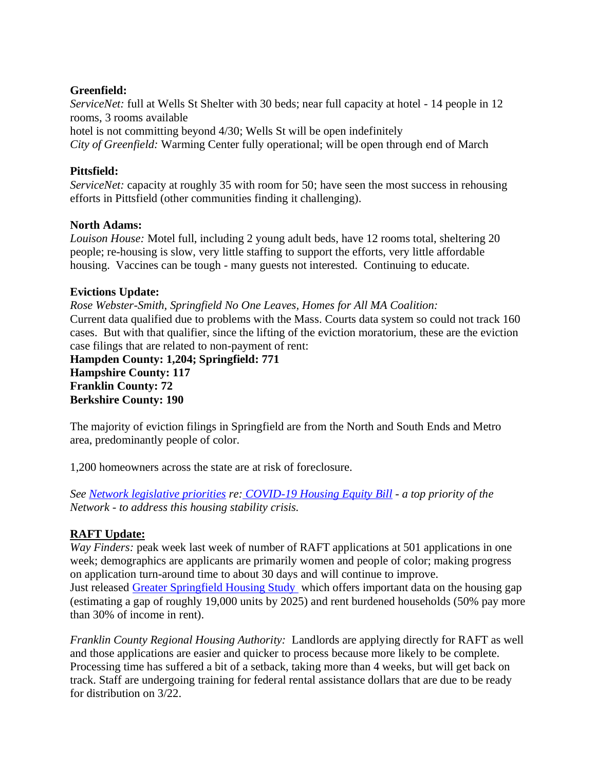#### **Greenfield:**

*ServiceNet:* full at Wells St Shelter with 30 beds; near full capacity at hotel - 14 people in 12 rooms, 3 rooms available

hotel is not committing beyond 4/30; Wells St will be open indefinitely *City of Greenfield:* Warming Center fully operational; will be open through end of March

#### **Pittsfield:**

*ServiceNet:* capacity at roughly 35 with room for 50; have seen the most success in rehousing efforts in Pittsfield (other communities finding it challenging).

#### **North Adams:**

*Louison House:* Motel full, including 2 young adult beds, have 12 rooms total, sheltering 20 people; re-housing is slow, very little staffing to support the efforts, very little affordable housing. Vaccines can be tough - many guests not interested. Continuing to educate.

#### **Evictions Update:**

*Rose Webster-Smith, Springfield No One Leaves, Homes for All MA Coalition:* Current data qualified due to problems with the Mass. Courts data system so could not track 160 cases. But with that qualifier, since the lifting of the eviction moratorium, these are the eviction case filings that are related to non-payment of rent:

**Hampden County: 1,204; Springfield: 771 Hampshire County: 117 Franklin County: 72 Berkshire County: 190**

The majority of eviction filings in Springfield are from the North and South Ends and Metro area, predominantly people of color.

1,200 homeowners across the state are at risk of foreclosure.

*See [Network legislative priorities](https://www.westernmasshousingfirst.org/wp-content/uploads/2021/03/WMNEH-Bill-Priorities-2021-2022.pdf) re: [COVID-19 Housing Equity Bill](https://www.homesforallmass.org/content/covid-19-housing-equity-bill-fact-sheet.pdf) - a top priority of the Network - to address this housing stability crisis.*

## **RAFT Update:**

*Way Finders:* peak week last week of number of RAFT applications at 501 applications in one week; demographics are applicants are primarily women and people of color; making progress on application turn-around time to about 30 days and will continue to improve. Just released [Greater Springfield Housing Study](https://donahue.umass.edu/our-publications/greater-springfield-ma-housing-report-the-first-in-depth-scan-of-the-region-in-the-covid-era) which offers important data on the housing gap (estimating a gap of roughly 19,000 units by 2025) and rent burdened households (50% pay more than 30% of income in rent).

*Franklin County Regional Housing Authority:* Landlords are applying directly for RAFT as well and those applications are easier and quicker to process because more likely to be complete. Processing time has suffered a bit of a setback, taking more than 4 weeks, but will get back on track. Staff are undergoing training for federal rental assistance dollars that are due to be ready for distribution on 3/22.